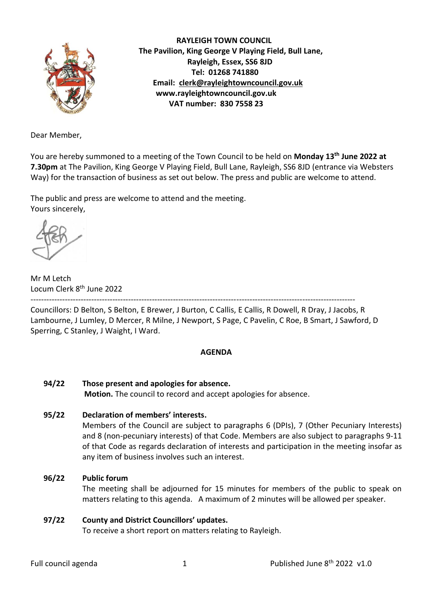

 **RAYLEIGH TOWN COUNCIL The Pavilion, King George V Playing Field, Bull Lane, Rayleigh, Essex, SS6 8JD Tel: 01268 741880 Email: [clerk@rayleightowncouncil.gov.uk](mailto:clerk@rayleightowncouncil.gov.uk) www.rayleightowncouncil.gov.uk VAT number: 830 7558 23**

Dear Member,

You are hereby summoned to a meeting of the Town Council to be held on **Monday 13 th June 2022 at 7.30pm** at The Pavilion, King George V Playing Field, Bull Lane, Rayleigh, SS6 8JD (entrance via Websters Way) for the transaction of business as set out below. The press and public are welcome to attend.

The public and press are welcome to attend and the meeting. Yours sincerely,

Mr M Letch Locum Clerk 8<sup>th</sup> June 2022

--------------------------------------------------------------------------------------------------------------------------- Councillors: D Belton, S Belton, E Brewer, J Burton, C Callis, E Callis, R Dowell, R Dray, J Jacobs, R Lambourne, J Lumley, D Mercer, R Milne, J Newport, S Page, C Pavelin, C Roe, B Smart, J Sawford, D

# Sperring, C Stanley, J Waight, I Ward.

## **AGENDA**

**94/22 Those present and apologies for absence. Motion.** The council to record and accept apologies for absence.

## **95/22 Declaration of members' interests.**

Members of the Council are subject to paragraphs 6 (DPIs), 7 (Other Pecuniary Interests) and 8 (non-pecuniary interests) of that Code. Members are also subject to paragraphs 9-11 of that Code as regards declaration of interests and participation in the meeting insofar as any item of business involves such an interest.

## **96/22 Public forum**

The meeting shall be adjourned for 15 minutes for members of the public to speak on matters relating to this agenda. A maximum of 2 minutes will be allowed per speaker.

## **97/22 County and District Councillors' updates.**

To receive a short report on matters relating to Rayleigh.